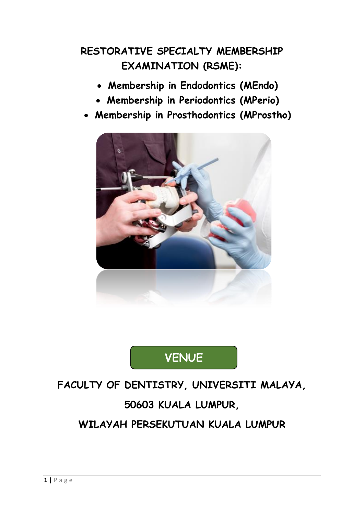## **RESTORATIVE SPECIALTY MEMBERSHIP EXAMINATION (RSME):**

- **Membership in Endodontics (MEndo)**
- **Membership in Periodontics (MPerio)**
- **Membership in Prosthodontics (MProstho)**



# **VENUE**

# **FACULTY OF DENTISTRY, UNIVERSITI MALAYA, 50603 KUALA LUMPUR, WILAYAH PERSEKUTUAN KUALA LUMPUR**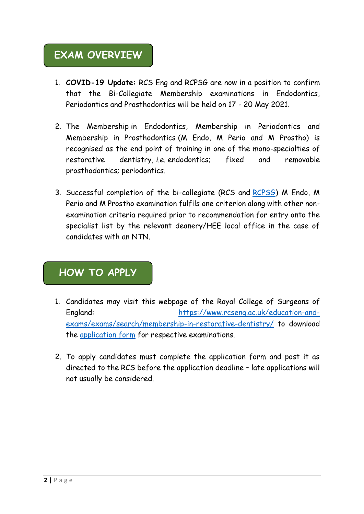### **EXAM OVERVIEW**

- 1. **COVID-19 Update:** RCS Eng and RCPSG are now in a position to confirm that the Bi-Collegiate Membership examinations in Endodontics, Periodontics and Prosthodontics will be held on 17 - 20 May 2021.
- 2. The Membership in Endodontics, Membership in Periodontics and Membership in Prosthodontics (M Endo, M Perio and M Prostho) is recognised as the end point of training in one of the mono-specialties of restorative dentistry, *i.e.* endodontics; fixed and removable prosthodontics; periodontics.
- 3. Successful completion of the bi-collegiate (RCS and [RCPSG\)](https://rcpsg.ac.uk/dental-surgery/exams/isfe/restorative-dentistry) M Endo, M Perio and M Prostho examination fulfils one criterion along with other nonexamination criteria required prior to recommendation for entry onto the specialist list by the relevant deanery/HEE local office in the case of candidates with an NTN.

### **HOW TO APPLY**

- 1. Candidates may visit this webpage of the Royal College of Surgeons of England: [https://www.rcseng.ac.uk/education-and](https://www.rcseng.ac.uk/education-and-exams/exams/search/membership-in-restorative-dentistry/)[exams/exams/search/membership-in-restorative-dentistry/](https://www.rcseng.ac.uk/education-and-exams/exams/search/membership-in-restorative-dentistry/) to download the [application form](file:///C:/Users/user/Downloads/Application%20Form%20September%202020.pdf) for respective examinations.
- 2. To apply candidates must complete the application form and post it as directed to the RCS before the application deadline – late applications will not usually be considered.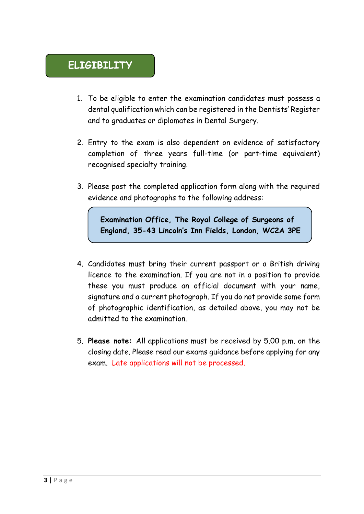- 1. To be eligible to enter the examination candidates must possess a dental qualification which can be registered in the Dentists' Register and to graduates or diplomates in Dental Surgery.
- 2. Entry to the exam is also dependent on evidence of satisfactory completion of three years full-time (or part-time equivalent) recognised specialty training.
- 3. Please post the completed application form along with the required evidence and photographs to the following address:

**Examination Office, The Royal College of Surgeons of England, 35-43 Lincoln's Inn Fields, London, WC2A 3PE**

- 4. Candidates must bring their current passport or a British driving licence to the examination. If you are not in a position to provide these you must produce an official document with your name, signature and a current photograph. If you do not provide some form of photographic identification, as detailed above, you may not be admitted to the examination.
- 5. **Please note:** All applications must be received by 5.00 p.m. on the closing date. Please read our exams guidance before applying for any exam. Late applications will not be processed.